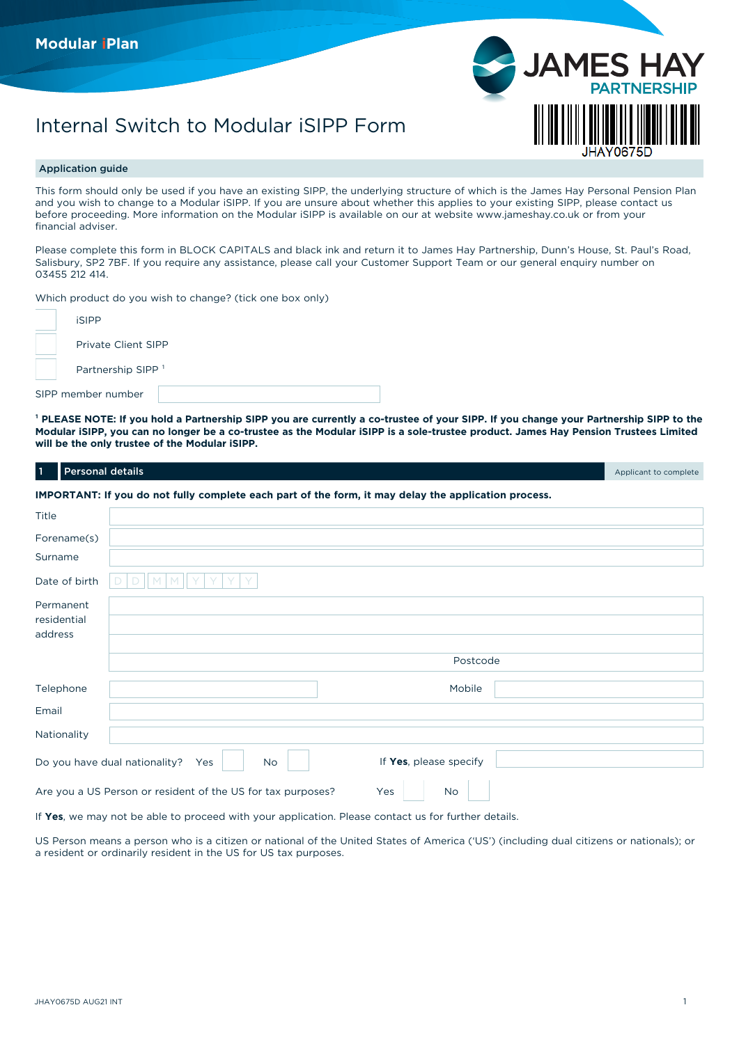# Internal Switch to Modular iSIPP Form

# Application guide

This form should only be used if you have an existing SIPP, the underlying structure of which is the James Hay Personal Pension Plan and you wish to change to a Modular iSIPP. If you are unsure about whether this applies to your existing SIPP, please contact us before proceeding. More information on the Modular iSIPP is available on our at website [www.jameshay.co.uk](http://www.jameshay.co.uk) or from your financial adviser.

**JAMES** 

Please complete this form in BLOCK CAPITALS and black ink and return it to James Hay Partnership, Dunn's House, St. Paul's Road, Salisbury, SP2 7BF. If you require any assistance, please call your Customer Support Team or our general enquiry number on 03455 212 414.

Which product do you wish to change? (tick one box only)

| <b>iSIPP</b>                  |  |
|-------------------------------|--|
| Private Client SIPP           |  |
| Partnership SIPP <sup>1</sup> |  |
| SIPP member number            |  |

<sup>1</sup> PLEASE NOTE: If you hold a Partnership SIPP you are currently a co-trustee of your SIPP. If you change your Partnership SIPP to the **Modular iSIPP, you can no longer be a co-trustee as the Modular iSIPP is a sole-trustee product. James Hay Pension Trustees Limited will be the only trustee of the Modular iSIPP.**

| <b>Personal details</b><br>$\vert$ 1 |                                                                                                      | Applicant to complete |
|--------------------------------------|------------------------------------------------------------------------------------------------------|-----------------------|
|                                      | IMPORTANT: If you do not fully complete each part of the form, it may delay the application process. |                       |
| Title                                |                                                                                                      |                       |
| Forename(s)                          |                                                                                                      |                       |
| Surname                              |                                                                                                      |                       |
| Date of birth                        | M<br>D<br>D                                                                                          |                       |
| Permanent<br>residential<br>address  |                                                                                                      |                       |
|                                      | Postcode                                                                                             |                       |
| Telephone                            | Mobile                                                                                               |                       |
| Email                                |                                                                                                      |                       |
| Nationality                          |                                                                                                      |                       |
|                                      | If Yes, please specify<br>Do you have dual nationality?<br>Yes<br><b>No</b>                          |                       |
|                                      | Are you a US Person or resident of the US for tax purposes?<br>Yes<br><b>No</b>                      |                       |

If **Yes**, we may not be able to proceed with your application. Please contact us for further details.

US Person means a person who is a citizen or national of the United States of America ('US') (including dual citizens or nationals); or a resident or ordinarily resident in the US for US tax purposes.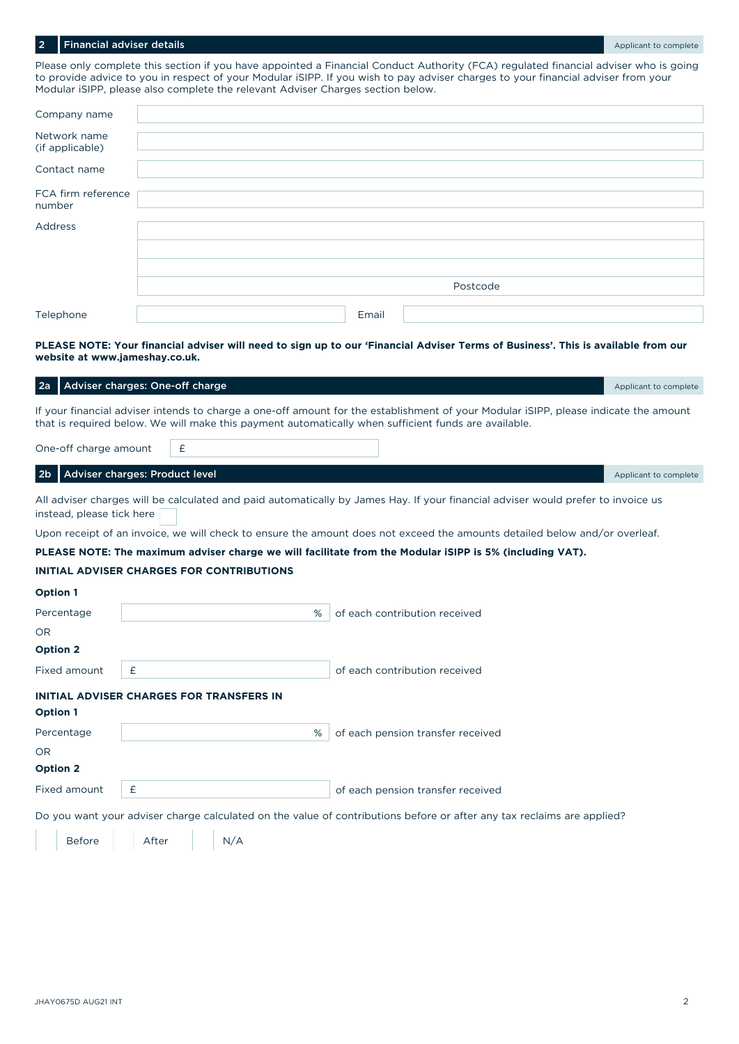## **Personal adviser details Personal details** 2 **Personal details** Applicant to complete

Please only complete this section if you have appointed a Financial Conduct Authority (FCA) regulated financial adviser who is going to provide advice to you in respect of your Modular iSIPP. If you wish to pay adviser charges to your financial adviser from your Modular iSIPP, please also complete the relevant Adviser Charges section below.

| Company name                    |  |       |          |  |
|---------------------------------|--|-------|----------|--|
| Network name<br>(if applicable) |  |       |          |  |
| Contact name                    |  |       |          |  |
| FCA firm reference<br>number    |  |       |          |  |
| Address                         |  |       |          |  |
|                                 |  |       |          |  |
|                                 |  |       |          |  |
|                                 |  |       | Postcode |  |
| Telephone                       |  | Email |          |  |

## **PLEASE NOTE: Your financial adviser will need to sign up to our 'Financial Adviser Terms of Business'. This is available from our website at [www.jameshay.co.uk.](http://www.jameshay.co.uk.)**

| 2a                        | Adviser charges: One-off charge |                                                  |   |                                                                                                                                                                                                                                              | Applicant to complete |
|---------------------------|---------------------------------|--------------------------------------------------|---|----------------------------------------------------------------------------------------------------------------------------------------------------------------------------------------------------------------------------------------------|-----------------------|
|                           |                                 |                                                  |   | If your financial adviser intends to charge a one-off amount for the establishment of your Modular iSIPP, please indicate the amount<br>that is required below. We will make this payment automatically when sufficient funds are available. |                       |
| One-off charge amount     |                                 | £                                                |   |                                                                                                                                                                                                                                              |                       |
| 2b                        | Adviser charges: Product level  |                                                  |   |                                                                                                                                                                                                                                              | Applicant to complete |
| instead, please tick here |                                 |                                                  |   | All adviser charges will be calculated and paid automatically by James Hay. If your financial adviser would prefer to invoice us                                                                                                             |                       |
|                           |                                 |                                                  |   | Upon receipt of an invoice, we will check to ensure the amount does not exceed the amounts detailed below and/or overleaf.                                                                                                                   |                       |
|                           |                                 |                                                  |   | PLEASE NOTE: The maximum adviser charge we will facilitate from the Modular iSIPP is 5% (including VAT).                                                                                                                                     |                       |
|                           |                                 | <b>INITIAL ADVISER CHARGES FOR CONTRIBUTIONS</b> |   |                                                                                                                                                                                                                                              |                       |
| <b>Option 1</b>           |                                 |                                                  |   |                                                                                                                                                                                                                                              |                       |
| Percentage                |                                 |                                                  | % | of each contribution received                                                                                                                                                                                                                |                       |
| <b>OR</b>                 |                                 |                                                  |   |                                                                                                                                                                                                                                              |                       |
| <b>Option 2</b>           |                                 |                                                  |   |                                                                                                                                                                                                                                              |                       |
| <b>Fixed amount</b>       | £                               |                                                  |   | of each contribution received                                                                                                                                                                                                                |                       |
|                           |                                 | <b>INITIAL ADVISER CHARGES FOR TRANSFERS IN</b>  |   |                                                                                                                                                                                                                                              |                       |
| <b>Option 1</b>           |                                 |                                                  |   |                                                                                                                                                                                                                                              |                       |
| Percentage                |                                 |                                                  | % | of each pension transfer received                                                                                                                                                                                                            |                       |
| <b>OR</b>                 |                                 |                                                  |   |                                                                                                                                                                                                                                              |                       |
| <b>Option 2</b>           |                                 |                                                  |   |                                                                                                                                                                                                                                              |                       |
| <b>Fixed amount</b>       | £                               |                                                  |   | of each pension transfer received                                                                                                                                                                                                            |                       |
|                           |                                 |                                                  |   | Do you want your adviser charge calculated on the value of contributions before or after any tax reclaims are applied?                                                                                                                       |                       |

| <b>Before</b> | After | N/A |
|---------------|-------|-----|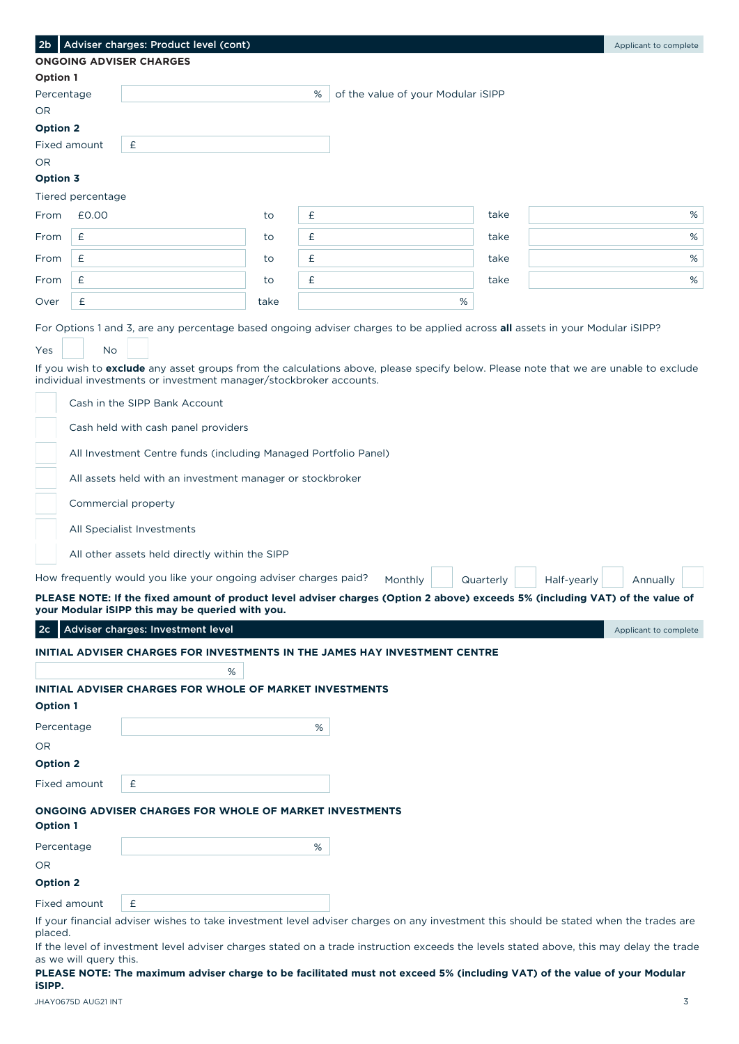| 2 <sub>b</sub>  |                        | Adviser charges: Product level (cont)                                                                                                                                                                      |      |   |                                    |   |           |             | Applicant to complete |
|-----------------|------------------------|------------------------------------------------------------------------------------------------------------------------------------------------------------------------------------------------------------|------|---|------------------------------------|---|-----------|-------------|-----------------------|
|                 |                        | <b>ONGOING ADVISER CHARGES</b>                                                                                                                                                                             |      |   |                                    |   |           |             |                       |
| Option 1        |                        |                                                                                                                                                                                                            |      |   |                                    |   |           |             |                       |
| Percentage      |                        |                                                                                                                                                                                                            |      | % | of the value of your Modular iSIPP |   |           |             |                       |
| OR.             |                        |                                                                                                                                                                                                            |      |   |                                    |   |           |             |                       |
| <b>Option 2</b> | Fixed amount           | $\pmb{\mathsf{E}}$                                                                                                                                                                                         |      |   |                                    |   |           |             |                       |
| OR.             |                        |                                                                                                                                                                                                            |      |   |                                    |   |           |             |                       |
| Option 3        |                        |                                                                                                                                                                                                            |      |   |                                    |   |           |             |                       |
|                 | Tiered percentage      |                                                                                                                                                                                                            |      |   |                                    |   |           |             |                       |
| From            | £0.00                  |                                                                                                                                                                                                            | to   | £ |                                    |   | take      |             | %                     |
| From            | £                      |                                                                                                                                                                                                            | to   | £ |                                    |   | take      |             | %                     |
|                 |                        |                                                                                                                                                                                                            |      |   |                                    |   |           |             |                       |
| From            | £                      |                                                                                                                                                                                                            | to   | £ |                                    |   | take      |             | $\%$                  |
| From            | £                      |                                                                                                                                                                                                            | to   | £ |                                    |   | take      |             | %                     |
| Over            | £                      |                                                                                                                                                                                                            | take |   |                                    | % |           |             |                       |
|                 |                        | For Options 1 and 3, are any percentage based ongoing adviser charges to be applied across all assets in your Modular iSIPP?                                                                               |      |   |                                    |   |           |             |                       |
|                 |                        |                                                                                                                                                                                                            |      |   |                                    |   |           |             |                       |
| <b>Yes</b>      | No                     |                                                                                                                                                                                                            |      |   |                                    |   |           |             |                       |
|                 |                        | If you wish to exclude any asset groups from the calculations above, please specify below. Please note that we are unable to exclude<br>individual investments or investment manager/stockbroker accounts. |      |   |                                    |   |           |             |                       |
|                 |                        | Cash in the SIPP Bank Account                                                                                                                                                                              |      |   |                                    |   |           |             |                       |
|                 |                        |                                                                                                                                                                                                            |      |   |                                    |   |           |             |                       |
|                 |                        | Cash held with cash panel providers                                                                                                                                                                        |      |   |                                    |   |           |             |                       |
|                 |                        | All Investment Centre funds (including Managed Portfolio Panel)                                                                                                                                            |      |   |                                    |   |           |             |                       |
|                 |                        | All assets held with an investment manager or stockbroker                                                                                                                                                  |      |   |                                    |   |           |             |                       |
|                 |                        |                                                                                                                                                                                                            |      |   |                                    |   |           |             |                       |
|                 |                        | Commercial property                                                                                                                                                                                        |      |   |                                    |   |           |             |                       |
|                 |                        | All Specialist Investments                                                                                                                                                                                 |      |   |                                    |   |           |             |                       |
|                 |                        | All other assets held directly within the SIPP                                                                                                                                                             |      |   |                                    |   |           |             |                       |
|                 |                        | How frequently would you like your ongoing adviser charges paid?                                                                                                                                           |      |   | Monthly                            |   | Quarterly | Half-yearly | Annually              |
|                 |                        | PLEASE NOTE: If the fixed amount of product level adviser charges (Option 2 above) exceeds 5% (including VAT) of the value of                                                                              |      |   |                                    |   |           |             |                       |
|                 |                        | your Modular iSIPP this may be queried with you.                                                                                                                                                           |      |   |                                    |   |           |             |                       |
| 2c              |                        | Adviser charges: Investment level                                                                                                                                                                          |      |   |                                    |   |           |             | Applicant to complete |
|                 |                        | INITIAL ADVISER CHARGES FOR INVESTMENTS IN THE JAMES HAY INVESTMENT CENTRE                                                                                                                                 |      |   |                                    |   |           |             |                       |
|                 |                        | %                                                                                                                                                                                                          |      |   |                                    |   |           |             |                       |
|                 |                        | <b>INITIAL ADVISER CHARGES FOR WHOLE OF MARKET INVESTMENTS</b>                                                                                                                                             |      |   |                                    |   |           |             |                       |
| <b>Option 1</b> |                        |                                                                                                                                                                                                            |      |   |                                    |   |           |             |                       |
| Percentage      |                        |                                                                                                                                                                                                            |      | % |                                    |   |           |             |                       |
| OR.             |                        |                                                                                                                                                                                                            |      |   |                                    |   |           |             |                       |
| <b>Option 2</b> |                        |                                                                                                                                                                                                            |      |   |                                    |   |           |             |                       |
|                 | Fixed amount           | £                                                                                                                                                                                                          |      |   |                                    |   |           |             |                       |
|                 |                        |                                                                                                                                                                                                            |      |   |                                    |   |           |             |                       |
| <b>Option 1</b> |                        | ONGOING ADVISER CHARGES FOR WHOLE OF MARKET INVESTMENTS                                                                                                                                                    |      |   |                                    |   |           |             |                       |
| Percentage      |                        |                                                                                                                                                                                                            |      | % |                                    |   |           |             |                       |
| OR.             |                        |                                                                                                                                                                                                            |      |   |                                    |   |           |             |                       |
| <b>Option 2</b> |                        |                                                                                                                                                                                                            |      |   |                                    |   |           |             |                       |
|                 | Fixed amount           | £                                                                                                                                                                                                          |      |   |                                    |   |           |             |                       |
|                 |                        | If your financial adviser wishes to take investment level adviser charges on any investment this should be stated when the trades are                                                                      |      |   |                                    |   |           |             |                       |
| placed.         |                        |                                                                                                                                                                                                            |      |   |                                    |   |           |             |                       |
|                 | as we will query this. | If the level of investment level adviser charges stated on a trade instruction exceeds the levels stated above, this may delay the trade                                                                   |      |   |                                    |   |           |             |                       |
| iSIPP.          |                        | PLEASE NOTE: The maximum adviser charge to be facilitated must not exceed 5% (including VAT) of the value of your Modular                                                                                  |      |   |                                    |   |           |             |                       |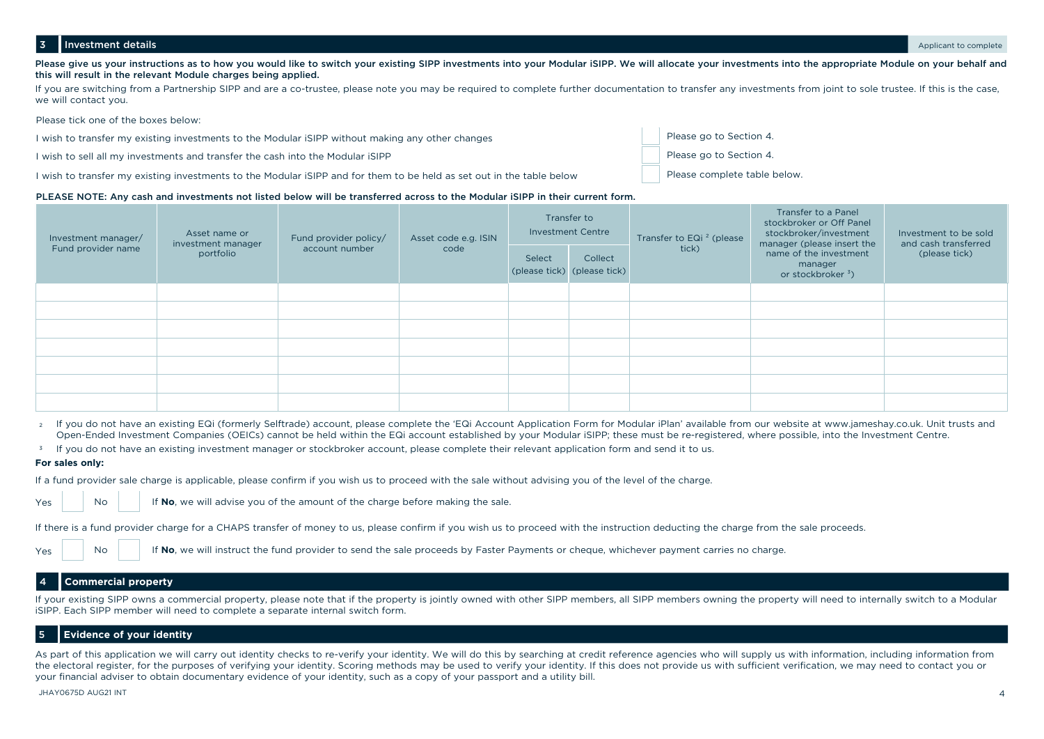## 3 Investment details **Applicant to complete**

Please give us your instructions as to how you would like to switch your existing SIPP investments into your Modular iSIPP. We will allocate your investments into the appropriate Module on your behalf and this will result in the relevant Module charges being applied.

If you are switching from a Partnership SIPP and are a co-trustee, please note you may be required to complete further documentation to transfer any investments from joint to sole trustee. If this is the case, we will contact you.

Please tick one of the boxes below:

I wish to transfer my existing investments to the Modular iSIPP without making any other changes

I wish to sell all my investments and transfer the cash into the Modular iSIPP

I wish to transfer my existing investments to the Modular iSIPP and for them to be held as set out in the table below

## PLEASE NOTE: Any cash and investments not listed below will be transferred across to the Modular iSIPP in their current form.

| Investment manager/ | Asset name or<br>investment manager | Fund provider policy/ | Asset code e.g. ISIN |        | Transfer to<br><b>Investment Centre</b> | Transfer to EQi <sup>2</sup> (please | Transfer to a Panel<br>stockbroker or Off Panel<br>stockbroker/investment<br>manager (please insert the | Investment to be sold<br>and cash transferred |  |
|---------------------|-------------------------------------|-----------------------|----------------------|--------|-----------------------------------------|--------------------------------------|---------------------------------------------------------------------------------------------------------|-----------------------------------------------|--|
| Fund provider name  | portfolio                           | account number        | code                 | Select | Collect<br>(please tick) (please tick)  | tick)                                | name of the investment<br>manager<br>or stockbroker <sup>3</sup> )                                      | (please tick)                                 |  |
|                     |                                     |                       |                      |        |                                         |                                      |                                                                                                         |                                               |  |
|                     |                                     |                       |                      |        |                                         |                                      |                                                                                                         |                                               |  |
|                     |                                     |                       |                      |        |                                         |                                      |                                                                                                         |                                               |  |
|                     |                                     |                       |                      |        |                                         |                                      |                                                                                                         |                                               |  |
|                     |                                     |                       |                      |        |                                         |                                      |                                                                                                         |                                               |  |
|                     |                                     |                       |                      |        |                                         |                                      |                                                                                                         |                                               |  |
|                     |                                     |                       |                      |        |                                         |                                      |                                                                                                         |                                               |  |

If you do not have an existing EQi (formerly Selftrade) account, please complete the 'EQi Account Application Form for Modular iPlan' available from our website at [www.jameshay.co.uk.](http://www.jameshay.co.uk) Unit trusts and 2 Open-Ended Investment Companies (OEICs) cannot be held within the EQi account established by your Modular iSIPP; these must be re-registered, where possible, into the Investment Centre.

 $^{\rm 3}$  If you do not have an existing investment manager or stockbroker account, please complete their relevant application form and send it to us.

## **For sales only:**

If a fund provider sale charge is applicable, please confirm if you wish us to proceed with the sale without advising you of the level of the charge.

Yes

Yes

If **No**, we will advise you of the amount of the charge before making the sale.

If there is a fund provider charge for a CHAPS transfer of money to us, please confirm if you wish us to proceed with the instruction deducting the charge from the sale proceeds.

No If **No**, we will instruct the fund provider to send the sale proceeds by Faster Payments or cheque, whichever payment carries no charge.

# 4 **Commercial property**

No

If your existing SIPP owns a commercial property, please note that if the property is jointly owned with other SIPP members, all SIPP members owning the property will need to internally switch to a Modular iSIPP. Each SIPP member will need to complete a separate internal switch form.

# 5 **Evidence of your identity**

As part of this application we will carry out identity checks to re-verify your identity. We will do this by searching at credit reference agencies who will supply us with information, including information from the electoral register, for the purposes of verifying your identity. Scoring methods may be used to verify your identity. If this does not provide us with sufficient verification, we may need to contact you or your financial adviser to obtain documentary evidence of your identity, such as a copy of your passport and a utility bill.

#### JHAY0675D AUG21 INT AND AND AND AND A SALE OF A SALE OF A SALE OF A SALE OF A SALE OF A SALE OF A SALE OF A SA

Please go to Section 4.

Please go to Section 4.

Please complete table below.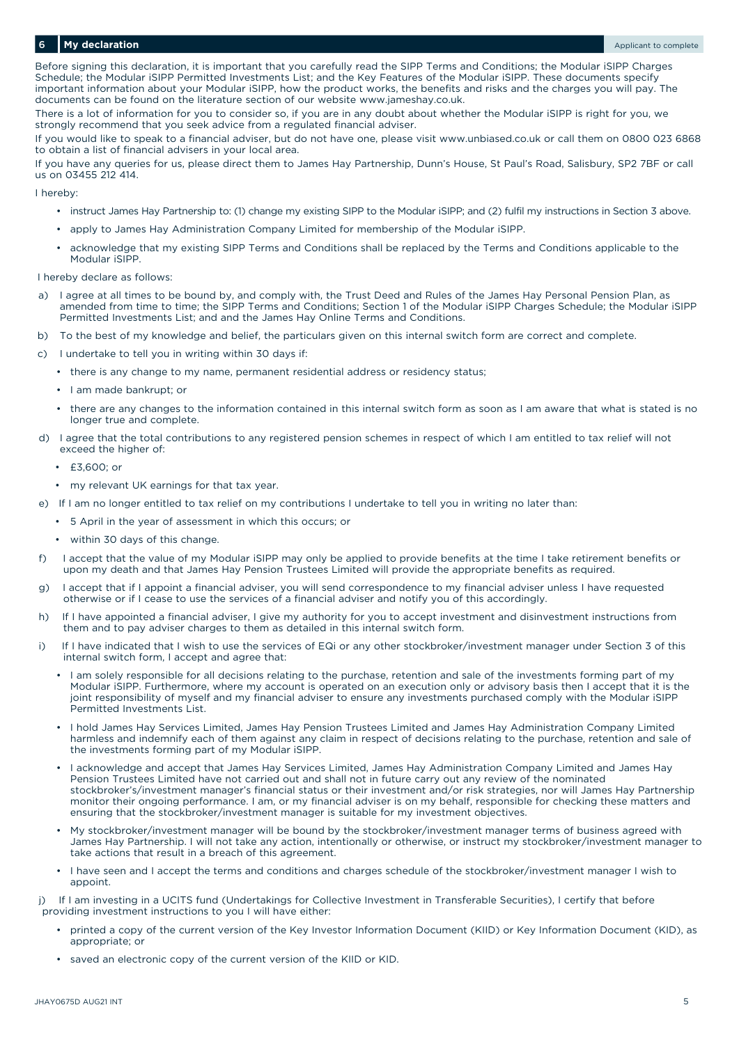## **My declaration** Applicant to complete the complete of the complete of the complete of the complete of the complete of the complete of the complete of the complete of the complete of the complete of the complete of the com

Before signing this declaration, it is important that you carefully read the SIPP Terms and Conditions; the Modular iSIPP Charges Schedule; the Modular iSIPP Permitted Investments List; and the Key Features of the Modular iSIPP. These documents specify important information about your Modular iSIPP, how the product works, the benefits and risks and the charges you will pay. The documents can be found on the literature section of our website [www.jameshay.co.uk.](http://www.jameshay.co.uk)

There is a lot of information for you to consider so, if you are in any doubt about whether the Modular iSIPP is right for you, we strongly recommend that you seek advice from a regulated financial adviser.

If you would like to speak to a financial adviser, but do not have one, please visit [www.unbiased.co.uk](http://www.unbiased.co.uk) or call them on 0800 023 6868 to obtain a list of financial advisers in your local area.

If you have any queries for us, please direct them to James Hay Partnership, Dunn's House, St Paul's Road, Salisbury, SP2 7BF or call us on 03455 212 414.

I hereby:

- instruct James Hay Partnership to: (1) change my existing SIPP to the Modular iSIPP; and (2) fulfil my instructions in Section 3 above.
- apply to James Hay Administration Company Limited for membership of the Modular iSIPP.
- acknowledge that my existing SIPP Terms and Conditions shall be replaced by the Terms and Conditions applicable to the Modular iSIPP.

I hereby declare as follows:

- a) I agree at all times to be bound by, and comply with, the Trust Deed and Rules of the James Hay Personal Pension Plan, as amended from time to time; the SIPP Terms and Conditions; Section 1 of the Modular iSIPP Charges Schedule; the Modular iSIPP Permitted Investments List; and and the James Hay Online Terms and Conditions.
- b) To the best of my knowledge and belief, the particulars given on this internal switch form are correct and complete.
- c) I undertake to tell you in writing within 30 days if:
	- there is any change to my name, permanent residential address or residency status;
	- I am made bankrupt; or
	- there are any changes to the information contained in this internal switch form as soon as I am aware that what is stated is no longer true and complete.
- d) I agree that the total contributions to any registered pension schemes in respect of which I am entitled to tax relief will not exceed the higher of:
	- £3,600; or
	- my relevant UK earnings for that tax year.
- e) If I am no longer entitled to tax relief on my contributions I undertake to tell you in writing no later than:
	- 5 April in the year of assessment in which this occurs; or
	- within 30 days of this change.
- f) I accept that the value of my Modular iSIPP may only be applied to provide benefits at the time I take retirement benefits or upon my death and that James Hay Pension Trustees Limited will provide the appropriate benefits as required.
- g) I accept that if I appoint a financial adviser, you will send correspondence to my financial adviser unless I have requested otherwise or if I cease to use the services of a financial adviser and notify you of this accordingly.
- h) If I have appointed a financial adviser, I give my authority for you to accept investment and disinvestment instructions from them and to pay adviser charges to them as detailed in this internal switch form.
- i) If I have indicated that I wish to use the services of EQi or any other stockbroker/investment manager under Section 3 of this internal switch form, I accept and agree that:
	- I am solely responsible for all decisions relating to the purchase, retention and sale of the investments forming part of my Modular iSIPP. Furthermore, where my account is operated on an execution only or advisory basis then I accept that it is the joint responsibility of myself and my financial adviser to ensure any investments purchased comply with the Modular iSIPP Permitted Investments List.
	- I hold James Hay Services Limited, James Hay Pension Trustees Limited and James Hay Administration Company Limited harmless and indemnify each of them against any claim in respect of decisions relating to the purchase, retention and sale of the investments forming part of my Modular iSIPP.
	- I acknowledge and accept that James Hay Services Limited, James Hay Administration Company Limited and James Hay Pension Trustees Limited have not carried out and shall not in future carry out any review of the nominated stockbroker's/investment manager's financial status or their investment and/or risk strategies, nor will James Hay Partnership monitor their ongoing performance. I am, or my financial adviser is on my behalf, responsible for checking these matters and ensuring that the stockbroker/investment manager is suitable for my investment objectives.
	- My stockbroker/investment manager will be bound by the stockbroker/investment manager terms of business agreed with James Hay Partnership. I will not take any action, intentionally or otherwise, or instruct my stockbroker/investment manager to take actions that result in a breach of this agreement.
	- I have seen and I accept the terms and conditions and charges schedule of the stockbroker/investment manager I wish to appoint.

If I am investing in a UCITS fund (Undertakings for Collective Investment in Transferable Securities), I certify that before providing investment instructions to you I will have either:

- printed a copy of the current version of the Key Investor Information Document (KIID) or Key Information Document (KID), as appropriate; or
- saved an electronic copy of the current version of the KIID or KID.